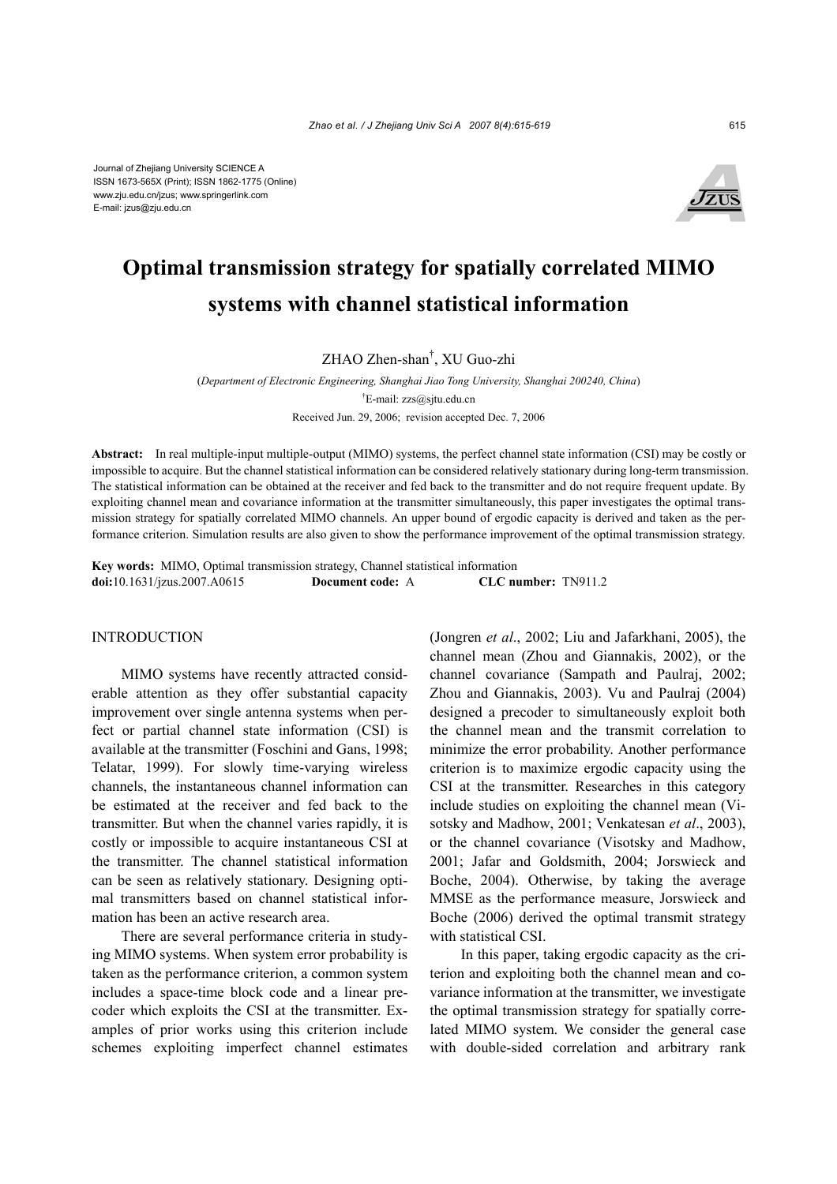

# **Optimal transmission strategy for spatially correlated MIMO systems with channel statistical information**

ZHAO Zhen-shan† , XU Guo-zhi

(*Department of Electronic Engineering, Shanghai Jiao Tong University, Shanghai 200240, China*) † E-mail: zzs@sjtu.edu.cn Received Jun. 29, 2006; revision accepted Dec. 7, 2006

**Abstract:** In real multiple-input multiple-output (MIMO) systems, the perfect channel state information (CSI) may be costly or impossible to acquire. But the channel statistical information can be considered relatively stationary during long-term transmission. The statistical information can be obtained at the receiver and fed back to the transmitter and do not require frequent update. By exploiting channel mean and covariance information at the transmitter simultaneously, this paper investigates the optimal transmission strategy for spatially correlated MIMO channels. An upper bound of ergodic capacity is derived and taken as the performance criterion. Simulation results are also given to show the performance improvement of the optimal transmission strategy.

**Key words:** MIMO, Optimal transmission strategy, Channel statistical information **doi:**10.1631/jzus.2007.A0615 **Document code:** A **CLC number:** TN911.2

## INTRODUCTION

MIMO systems have recently attracted considerable attention as they offer substantial capacity improvement over single antenna systems when perfect or partial channel state information (CSI) is available at the transmitter (Foschini and Gans, 1998; Telatar, 1999). For slowly time-varying wireless channels, the instantaneous channel information can be estimated at the receiver and fed back to the transmitter. But when the channel varies rapidly, it is costly or impossible to acquire instantaneous CSI at the transmitter. The channel statistical information can be seen as relatively stationary. Designing optimal transmitters based on channel statistical information has been an active research area.

There are several performance criteria in studying MIMO systems. When system error probability is taken as the performance criterion, a common system includes a space-time block code and a linear precoder which exploits the CSI at the transmitter. Examples of prior works using this criterion include schemes exploiting imperfect channel estimates (Jongren *et al*., 2002; Liu and Jafarkhani, 2005), the channel mean (Zhou and Giannakis, 2002), or the channel covariance (Sampath and Paulraj, 2002; Zhou and Giannakis, 2003). Vu and Paulraj (2004) designed a precoder to simultaneously exploit both the channel mean and the transmit correlation to minimize the error probability. Another performance criterion is to maximize ergodic capacity using the CSI at the transmitter. Researches in this category include studies on exploiting the channel mean (Visotsky and Madhow, 2001; Venkatesan *et al*., 2003), or the channel covariance (Visotsky and Madhow, 2001; Jafar and Goldsmith, 2004; Jorswieck and Boche, 2004). Otherwise, by taking the average MMSE as the performance measure, Jorswieck and Boche (2006) derived the optimal transmit strategy with statistical CSI.

In this paper, taking ergodic capacity as the criterion and exploiting both the channel mean and covariance information at the transmitter, we investigate the optimal transmission strategy for spatially correlated MIMO system. We consider the general case with double-sided correlation and arbitrary rank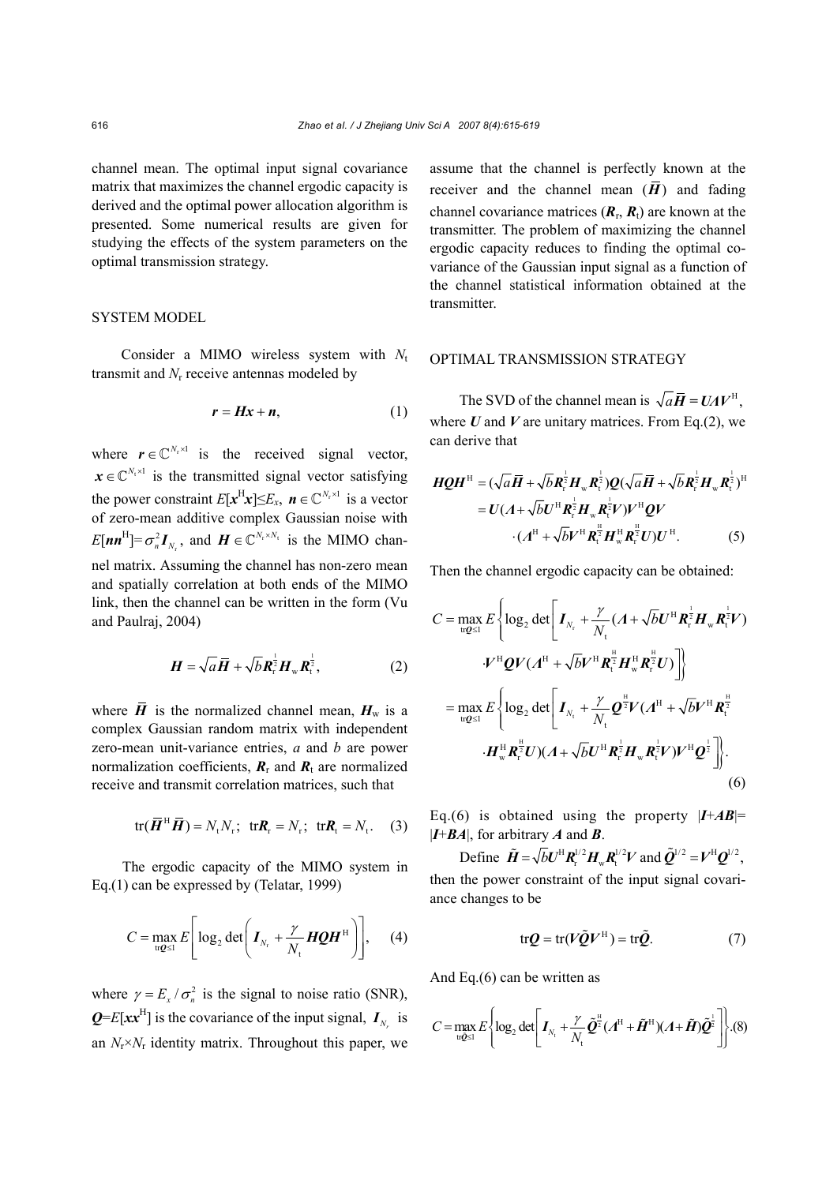channel mean. The optimal input signal covariance matrix that maximizes the channel ergodic capacity is derived and the optimal power allocation algorithm is presented. Some numerical results are given for studying the effects of the system parameters on the optimal transmission strategy.

## SYSTEM MODEL

Consider a MIMO wireless system with *N*<sup>t</sup> transmit and  $N_r$  receive antennas modeled by

$$
r = Hx + n,\tag{1}
$$

where  $r \in \mathbb{C}^{N_r \times 1}$  is the received signal vector,  $\mathbf{x} \in \mathbb{C}^{N_t \times 1}$  is the transmitted signal vector satisfying the power constraint  $E[x^H x] \leq E_x$ ,  $n \in \mathbb{C}^{N_r \times 1}$  is a vector of zero-mean additive complex Gaussian noise with  $E[nn^{\text{H}}] = \sigma_n^2 I_{N_r}$ , and  $H \in \mathbb{C}^{N_r \times N_t}$  is the MIMO channel matrix. Assuming the channel has non-zero mean and spatially correlation at both ends of the MIMO link, then the channel can be written in the form (Vu and Paulraj, 2004)

$$
\boldsymbol{H} = \sqrt{a}\,\boldsymbol{\bar{H}} + \sqrt{b}\,\boldsymbol{R}_{\rm r}^{\frac{1}{2}}\boldsymbol{H}_{\rm w}\,\boldsymbol{R}_{\rm t}^{\frac{1}{2}},\tag{2}
$$

where  $\overline{H}$  is the normalized channel mean,  $H_w$  is a complex Gaussian random matrix with independent zero-mean unit-variance entries, *a* and *b* are power normalization coefficients,  $\mathbf{R}_r$  and  $\mathbf{R}_t$  are normalized receive and transmit correlation matrices, such that

$$
\text{tr}(\overline{\mathbf{H}}^{\text{H}}\overline{\mathbf{H}}) = N_{\text{t}}N_{\text{r}}; \ \text{tr} \mathbf{R}_{\text{r}} = N_{\text{r}}; \ \text{tr} \mathbf{R}_{\text{t}} = N_{\text{t}}.
$$
 (3)

The ergodic capacity of the MIMO system in Eq.(1) can be expressed by (Telatar, 1999)

$$
C = \max_{\text{tr} Q \leq 1} E \left[ \log_2 \det \left( \boldsymbol{I}_{N_\text{r}} + \frac{\gamma}{N_\text{t}} \boldsymbol{H} \boldsymbol{Q} \boldsymbol{H}^\text{H} \right) \right], \quad (4)
$$

where  $\gamma = E_x / \sigma_n^2$  is the signal to noise ratio (SNR),  $Q= E[xx^H]$  is the covariance of the input signal,  $I_{N_r}$  is an  $N_r \times N_r$  identity matrix. Throughout this paper, we

assume that the channel is perfectly known at the receiver and the channel mean  $(\overline{H})$  and fading channel covariance matrices  $(R_r, R_t)$  are known at the transmitter. The problem of maximizing the channel ergodic capacity reduces to finding the optimal covariance of the Gaussian input signal as a function of the channel statistical information obtained at the transmitter.

### OPTIMAL TRANSMISSION STRATEGY

The SVD of the channel mean is  $\sqrt{a}\vec{H} = UAV^{\text{H}}$ , where  $U$  and  $V$  are unitary matrices. From Eq.(2), we can derive that

$$
HQHH = (\sqrt{a}\overline{H} + \sqrt{b}Ri1Hw Ri1)Q(\sqrt{a}\overline{H} + \sqrt{b}Ri1Hw Ri1)H
$$
  
=  $U(A + \sqrt{b}UHRi1HwRi1V)VHQV$   
 $\cdot (AH + \sqrt{b}VHRi1HwHRi1U)UH.$  (5)

Then the channel ergodic capacity can be obtained:

$$
C = \max_{\text{tr}\mathcal{Q} \leq 1} E \left\{ \log_2 \det \left[ \boldsymbol{I}_{N_{\text{r}}} + \frac{\gamma}{N_{\text{t}}} (\boldsymbol{\Lambda} + \sqrt{\boldsymbol{b}} \boldsymbol{U}^{\text{H}} \boldsymbol{R}_{\text{r}}^{\frac{1}{2}} \boldsymbol{H}_{\text{w}} \boldsymbol{R}_{\text{t}}^{\frac{1}{2}} \boldsymbol{V}) \right. \right. \\ \left. + \boldsymbol{V}^{\text{H}} \boldsymbol{Q} \boldsymbol{V} (\boldsymbol{\Lambda}^{\text{H}} + \sqrt{\boldsymbol{b}} \boldsymbol{V}^{\text{H}} \boldsymbol{R}_{\text{t}}^{\frac{\text{H}}{2}} \boldsymbol{H}_{\text{w}}^{\text{H}} \boldsymbol{R}_{\text{r}}^{\frac{\text{H}}{2}} \boldsymbol{U}) \right] \right\}
$$
\n
$$
= \max_{\text{tr}\mathcal{Q} \leq 1} E \left\{ \log_2 \det \left[ \boldsymbol{I}_{N_{\text{t}}} + \frac{\gamma}{N_{\text{t}}} \boldsymbol{Q}^{\frac{\text{H}}{2}} \boldsymbol{V} (\boldsymbol{\Lambda}^{\text{H}} + \sqrt{\boldsymbol{b}} \boldsymbol{V}^{\text{H}} \boldsymbol{R}_{\text{t}}^{\frac{\text{H}}{2}} \right. \right. \\ \left. \cdot \boldsymbol{H}_{\text{w}}^{\text{H}} \boldsymbol{R}_{\text{r}}^{\frac{\text{H}}{2}} \boldsymbol{U} ) (\boldsymbol{\Lambda} + \sqrt{\boldsymbol{b}} \boldsymbol{U}^{\text{H}} \boldsymbol{R}_{\text{r}}^{\frac{1}{2}} \boldsymbol{H}_{\text{w}} \boldsymbol{R}_{\text{t}}^{\frac{1}{2}} \boldsymbol{V} ) \boldsymbol{V}^{\text{H}} \boldsymbol{Q}^{\frac{1}{2}} \right] \right\}.
$$
\n(6)

Eq.(6) is obtained using the property  $|I+A B|=$ |*I*+*BA*|, for arbitrary *A* and *B*.

Define  $\tilde{H} = \sqrt{b}U^{\mathrm{H}}R_{\mathrm{r}}^{1/2}H_{\mathrm{w}}R_{\mathrm{t}}^{1/2}V$  and  $\tilde{Q}^{1/2} = V^{\mathrm{H}}Q^{1/2}$ , then the power constraint of the input signal covariance changes to be

$$
\operatorname{tr}\boldsymbol{Q} = \operatorname{tr}(\boldsymbol{V}\tilde{\boldsymbol{Q}}\boldsymbol{V}^{\mathrm{H}}) = \operatorname{tr}\tilde{\boldsymbol{Q}}.\tag{7}
$$

And Eq.(6) can be written as

$$
C = \max_{\mathfrak{m}\tilde{\mathbf{Q}} \leq 1} E \left\{ \log_2 \det \left[ \boldsymbol{I}_{N_{\mathfrak{t}}} + \frac{\gamma}{N_{\mathfrak{t}}} \tilde{\mathbf{Q}}^{\frac{11}{2}} (\boldsymbol{\Lambda}^{\mathrm{H}} + \tilde{\boldsymbol{H}}^{\mathrm{H}}) (\boldsymbol{\Lambda} + \tilde{\boldsymbol{H}}) \tilde{\mathbf{Q}}^{\frac{1}{2}} \right] \right\} . (8)
$$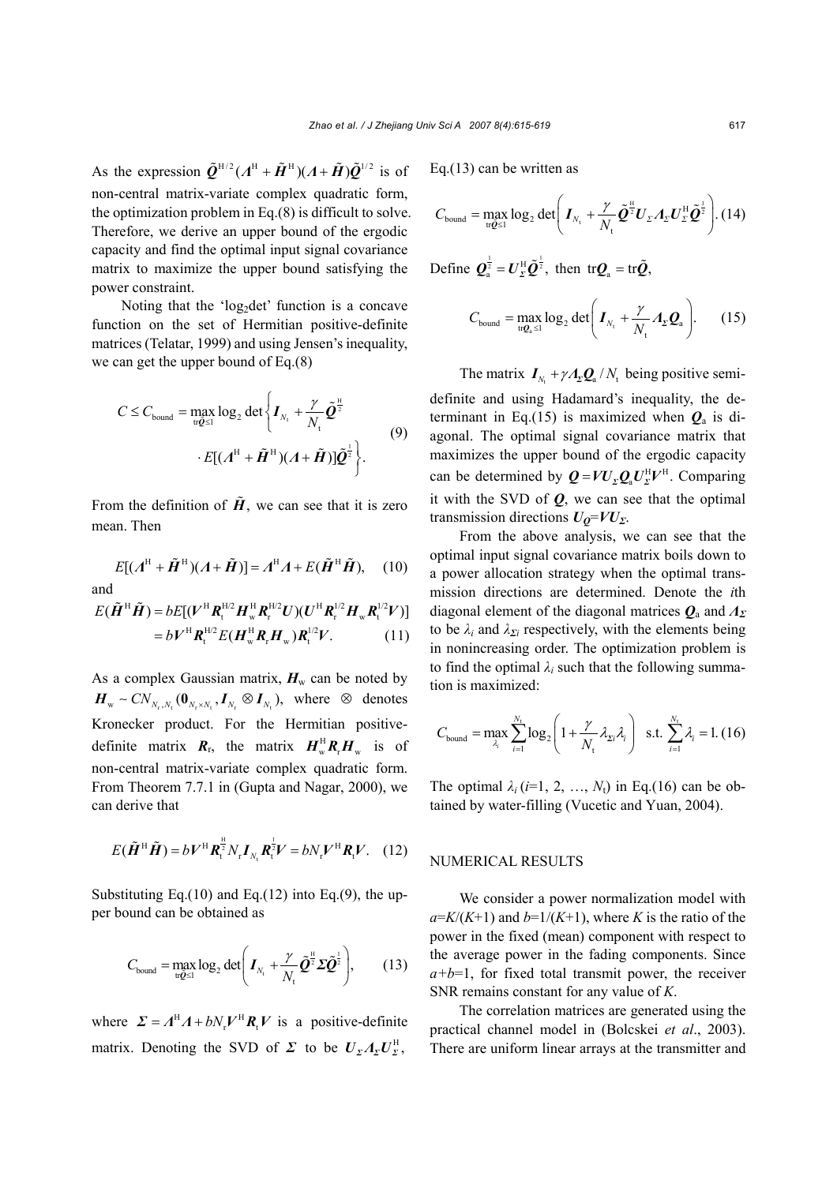As the expression  $\tilde{\mathbf{Q}}^{\text{H}/2} (\mathbf{\Lambda}^{\text{H}} + \tilde{\mathbf{H}}^{\text{H}})(\mathbf{\Lambda} + \tilde{\mathbf{H}})\tilde{\mathbf{Q}}^{1/2}$  is of non-central matrix-variate complex quadratic form, the optimization problem in Eq.(8) is difficult to solve. Therefore, we derive an upper bound of the ergodic capacity and find the optimal input signal covariance matrix to maximize the upper bound satisfying the power constraint.

Noting that the 'log<sub>2</sub>det' function is a concave function on the set of Hermitian positive-definite matrices (Telatar, 1999) and using Jensen's inequality, we can get the upper bound of Eq.(8)

$$
C \leq C_{\text{bound}} = \max_{\text{tr}\tilde{\mathbf{\mathcal{Q}}}\leq 1} \log_2 \det \left\{ \boldsymbol{I}_{N_{\text{t}}} + \frac{\gamma}{N_{\text{t}}} \tilde{\mathbf{\mathcal{Q}}}^{\frac{\text{H}}{2}} \right\}.
$$
\n
$$
\cdot E[(\boldsymbol{\Lambda}^{\text{H}} + \tilde{\boldsymbol{H}}^{\text{H}})(\boldsymbol{\Lambda} + \tilde{\boldsymbol{H}})]\tilde{\mathbf{\mathcal{Q}}}^{\frac{1}{2}} \right].
$$
\n(9)

From the definition of  $\tilde{H}$ , we can see that it is zero mean. Then

$$
E[(AH + \tilde{H}H)(A + \tilde{H})] = AHA + E(\tilde{H}H\tilde{H}),
$$
 (10) and

$$
E(\tilde{\boldsymbol{H}}^{\mathrm{H}}\tilde{\boldsymbol{H}})=bE[(\boldsymbol{V}^{\mathrm{H}}\boldsymbol{R}_{\mathrm{t}}^{\mathrm{H/2}}\boldsymbol{H}_{\mathrm{w}}^{\mathrm{H}}\boldsymbol{R}_{\mathrm{r}}^{\mathrm{H/2}}\boldsymbol{U})(\boldsymbol{U}^{\mathrm{H}}\boldsymbol{R}_{\mathrm{r}}^{\mathrm{1/2}}\boldsymbol{H}_{\mathrm{w}}\boldsymbol{R}_{\mathrm{t}}^{\mathrm{1/2}}\boldsymbol{V})]
$$

$$
=b\boldsymbol{V}^{\mathrm{H}}\boldsymbol{R}_{\mathrm{t}}^{\mathrm{H/2}}E(\boldsymbol{H}_{\mathrm{w}}^{\mathrm{H}}\boldsymbol{R}_{\mathrm{r}}\boldsymbol{H}_{\mathrm{w}})\boldsymbol{R}_{\mathrm{t}}^{\mathrm{1/2}}\boldsymbol{V}.
$$
(11)

As a complex Gaussian matrix,  $H_w$  can be noted by  $H_w \sim CN_{N_r, N_t} (\mathbf{0}_{N_r \times N_t}, I_{N_r} \otimes I_{N_t}),$  where  $\otimes$  denotes Kronecker product. For the Hermitian positivedefinite matrix  $\mathbf{R}_{r}$ , the matrix  $\mathbf{H}_{w}^{\text{H}} \mathbf{R}_{r} \mathbf{H}_{w}$  is of non-central matrix-variate complex quadratic form. From Theorem 7.7.1 in (Gupta and Nagar, 2000), we can derive that

$$
E(\tilde{\boldsymbol{H}}^{\mathrm{H}}\tilde{\boldsymbol{H}})=b\boldsymbol{V}^{\mathrm{H}}\boldsymbol{R}_{t}^{\mathrm{H}}N_{r}\boldsymbol{I}_{N_{t}}\boldsymbol{R}_{t}^{\frac{1}{2}}\boldsymbol{V}=bN_{r}\boldsymbol{V}^{\mathrm{H}}\boldsymbol{R}_{t}\boldsymbol{V}.
$$
 (12)

Substituting Eq. $(10)$  and Eq. $(12)$  into Eq. $(9)$ , the upper bound can be obtained as

$$
C_{\text{bound}} = \max_{\text{tr}\tilde{\mathbf{Q}} \leq 1} \log_2 \det \left( \mathbf{I}_{N_{\text{t}}} + \frac{\gamma}{N_{\text{t}}} \tilde{\mathbf{Q}}^{\frac{1}{2}} \Sigma \tilde{\mathbf{Q}}^{\frac{1}{2}} \right), \tag{13}
$$

where  $\mathbf{\Sigma} = A^H A + bN_r V^H \mathbf{R}_t V$  is a positive-definite matrix. Denoting the SVD of  $\Sigma$  to be  $U_{\Sigma} A_{\Sigma} U_{\Sigma}^{\rm H}$ ,

Eq.(13) can be written as

$$
C_{\text{bound}} = \max_{\text{tr}\tilde{\mathbf{Q}} \leq 1} \log_2 \det \left( \mathbf{I}_{N_{\text{t}}} + \frac{\gamma}{N_{\text{t}}} \tilde{\mathbf{Q}}^{\frac{11}{2}} \mathbf{U}_{\varSigma} \mathbf{A}_{\varSigma} \mathbf{U}_{\varSigma}^{\text{H}} \tilde{\mathbf{Q}}^{\frac{1}{2}} \right). (14)
$$

Define  $\mathcal{Q}_a^{\frac{1}{2}} = U_{\Sigma}^H \tilde{\mathcal{Q}}^{\frac{1}{2}}$ , then tr $\mathcal{Q}_a = \text{tr} \tilde{\mathcal{Q}}$ ,

$$
C_{\text{bound}} = \max_{\text{tr} \mathbf{Q}_a \leq 1} \log_2 \det \left( \mathbf{I}_{N_t} + \frac{\gamma}{N_t} A_{\Sigma} \mathbf{Q}_a \right). \tag{15}
$$

The matrix  $I_{N_1} + \gamma A_{\Sigma} Q_a / N_t$  being positive semidefinite and using Hadamard's inequality, the determinant in Eq.(15) is maximized when  $\mathbf{Q}_a$  is diagonal. The optimal signal covariance matrix that maximizes the upper bound of the ergodic capacity can be determined by  $Q = VU_{\Sigma}Q_{a}U_{\Sigma}^{H}V^{H}$ . Comparing it with the SVD of *Q*, we can see that the optimal transmission directions  $U_0 = VU_z$ .

From the above analysis, we can see that the optimal input signal covariance matrix boils down to a power allocation strategy when the optimal transmission directions are determined. Denote the *i*th diagonal element of the diagonal matrices *Q*a and *ΛΣ* to be  $\lambda_i$  and  $\lambda_{\Sigma i}$  respectively, with the elements being in nonincreasing order. The optimization problem is to find the optimal  $\lambda_i$  such that the following summation is maximized:

$$
C_{\text{bound}} = \max_{\lambda_i} \sum_{i=1}^{N_{\text{t}}} \log_2 \left( 1 + \frac{\gamma}{N_{\text{t}}} \lambda_{\Sigma i} \lambda_i \right) \text{ s.t. } \sum_{i=1}^{N_{\text{t}}} \lambda_i = 1. (16)
$$

The optimal  $\lambda_i$  ( $i=1, 2, ..., N_t$ ) in Eq.(16) can be obtained by water-filling (Vucetic and Yuan, 2004).

### NUMERICAL RESULTS

We consider a power normalization model with  $a=K/(K+1)$  and  $b=1/(K+1)$ , where *K* is the ratio of the power in the fixed (mean) component with respect to the average power in the fading components. Since  $a+b=1$ , for fixed total transmit power, the receiver SNR remains constant for any value of *K*.

The correlation matrices are generated using the practical channel model in (Bolcskei *et al*., 2003). There are uniform linear arrays at the transmitter and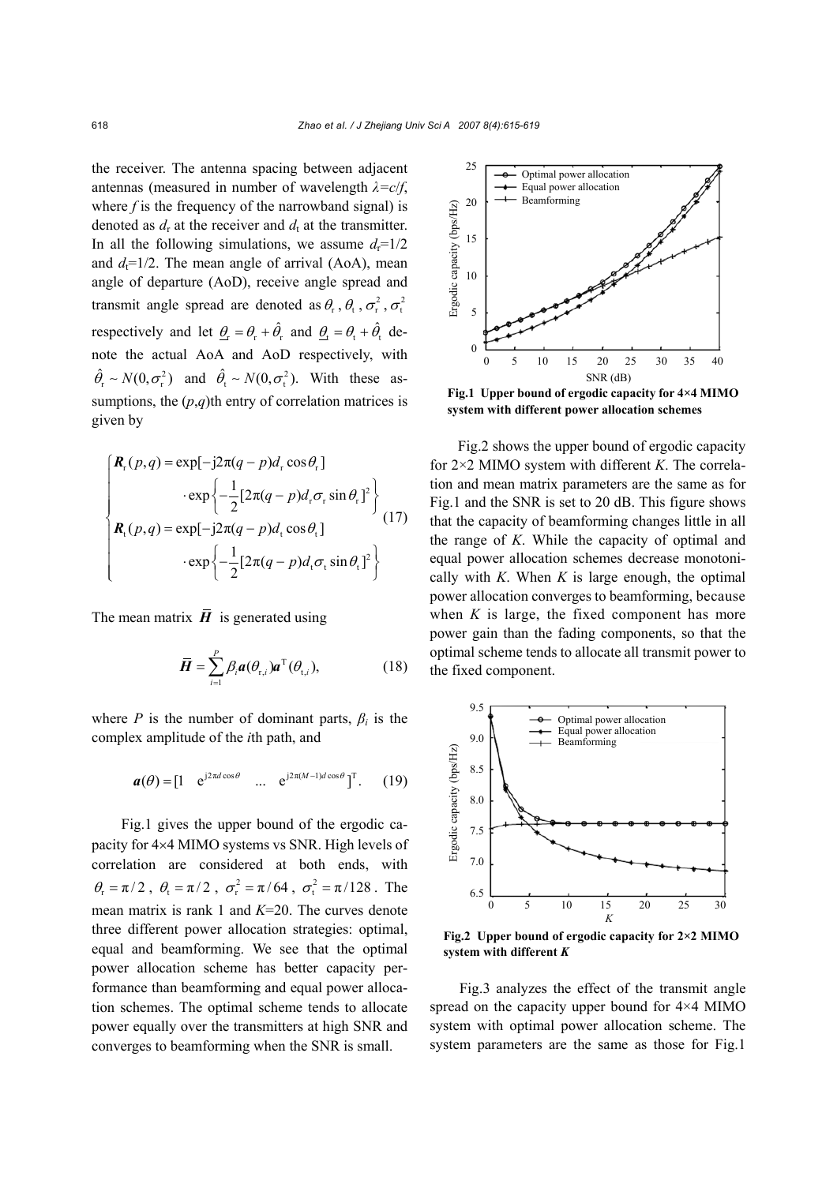the receiver. The antenna spacing between adjacent antennas (measured in number of wavelength *λ=c*/*f*, where  $f$  is the frequency of the narrowband signal) is denoted as  $d_r$  at the receiver and  $d_t$  at the transmitter. In all the following simulations, we assume  $d_r=1/2$ and  $d_f=1/2$ . The mean angle of arrival (AoA), mean angle of departure (AoD), receive angle spread and transmit angle spread are denoted as  $\theta_r$ ,  $\theta_t$ ,  $\sigma_r^2$ ,  $\sigma_t^2$ respectively and let  $\theta_r = \theta_r + \hat{\theta}_r$  and  $\theta_t = \theta_t + \hat{\theta}_t$  denote the actual AoA and AoD respectively, with  $\hat{\theta}_{\rm r} \sim N(0, \sigma_{\rm r}^2)$  and  $\hat{\theta}_{\rm t} \sim N(0, \sigma_{\rm t}^2)$ . With these assumptions, the  $(p,q)$ <sup>th</sup> entry of correlation matrices is given by

$$
\begin{cases}\nR_{\rm r}(p,q) = \exp[-j2\pi(q-p)d_{\rm r}\cos\theta_{\rm r}] \\
\cdot \exp\left\{-\frac{1}{2}[2\pi(q-p)d_{\rm r}\sigma_{\rm r}\sin\theta_{\rm r}]^2\right\} \\
R_{\rm t}(p,q) = \exp[-j2\pi(q-p)d_{\rm t}\cos\theta_{\rm t}] \\
\cdot \exp\left\{-\frac{1}{2}[2\pi(q-p)d_{\rm t}\sigma_{\rm r}\sin\theta_{\rm t}]^2\right\}\n\end{cases} (17)
$$

The mean matrix  $\overline{H}$  is generated using

$$
\overline{\boldsymbol{H}} = \sum_{i=1}^{P} \beta_i \boldsymbol{a}(\theta_{\mathrm{r},i}) \boldsymbol{a}^{\mathrm{T}}(\theta_{\mathrm{t},i}), \qquad (18)
$$

where *P* is the number of dominant parts,  $\beta_i$  is the complex amplitude of the *i*th path, and

$$
\boldsymbol{a}(\theta) = \begin{bmatrix} 1 & e^{j2\pi d \cos \theta} & \dots & e^{j2\pi (M-1)d \cos \theta} \end{bmatrix}^{\mathrm{T}}. \qquad (19)
$$

Fig.1 gives the upper bound of the ergodic capacity for 4×4 MIMO systems vs SNR. High levels of correlation are considered at both ends, with  $\theta_{\rm r} = \pi/2$ ,  $\theta_{\rm t} = \pi/2$ ,  $\sigma_{\rm r}^2 = \pi/64$ ,  $\sigma_{\rm t}^2 = \pi/128$ . The mean matrix is rank 1 and *K*=20. The curves denote three different power allocation strategies: optimal, equal and beamforming. We see that the optimal power allocation scheme has better capacity performance than beamforming and equal power allocation schemes. The optimal scheme tends to allocate power equally over the transmitters at high SNR and converges to beamforming when the SNR is small.



**system with different power allocation schemes**

Fig.2 shows the upper bound of ergodic capacity for 2×2 MIMO system with different *K*. The correlation and mean matrix parameters are the same as for Fig.1 and the SNR is set to 20 dB. This figure shows that the capacity of beamforming changes little in all the range of *K*. While the capacity of optimal and equal power allocation schemes decrease monotonically with  $K$ . When  $K$  is large enough, the optimal power allocation converges to beamforming, because when  $K$  is large, the fixed component has more power gain than the fading components, so that the optimal scheme tends to allocate all transmit power to the fixed component.



**Fig.2 Upper bound of ergodic capacity for 2×2 MIMO system with different** *K*

Fig.3 analyzes the effect of the transmit angle spread on the capacity upper bound for 4×4 MIMO system with optimal power allocation scheme. The system parameters are the same as those for Fig.1